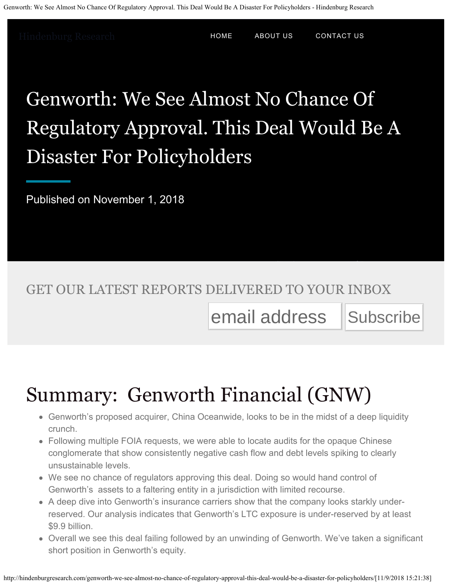[Hindenburg Research](http://hindenburgresearch.com/) **[HOME](http://hindenburgresearch.com/)** [ABOUT US](http://hindenburgresearch.com/about-us/) [CONTACT US](http://hindenburgresearch.com/contact-us/)

# Genworth: We See Almost No Chance Of Regulatory Approval. This Deal Would Be A Disaster For Policyholders

Published on November 1, 2018

#### GET OUR LATEST REPORTS DELIVERED TO YOUR INBOX

### email address Subscribe

# Summary: Genworth Financial (GNW)

- Genworth's proposed acquirer, China Oceanwide, looks to be in the midst of a deep liquidity crunch.
- Following multiple FOIA requests, we were able to locate audits for the opaque Chinese conglomerate that show consistently negative cash flow and debt levels spiking to clearly unsustainable levels.
- We see no chance of regulators approving this deal. Doing so would hand control of Genworth's assets to a faltering entity in a jurisdiction with limited recourse.
- A deep dive into Genworth's insurance carriers show that the company looks starkly underreserved. Our analysis indicates that Genworth's LTC exposure is under-reserved by at least \$9.9 billion.
- Overall we see this deal failing followed by an unwinding of Genworth. We've taken a significant short position in Genworth's equity.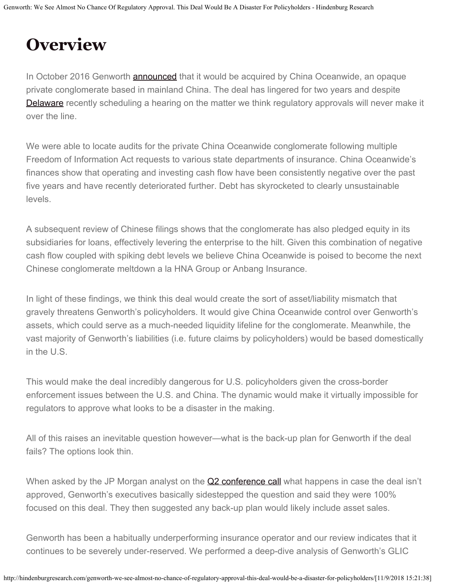## **Overview**

In October 2016 Genworth **announced** that it would be acquired by China Oceanwide, an opaque private conglomerate based in mainland China. The deal has lingered for two years and despite [Delaware](http://investor.genworth.com/investors/news-releases/archive/archive/2018/Delaware-Department-of-Insurance-Schedules-Public-Hearing-on-China-Oceanwide-and-Genworth-Financial-Merger-on-November-28-2018/default.aspx) recently scheduling a hearing on the matter we think regulatory approvals will never make it over the line.

We were able to locate audits for the private China Oceanwide conglomerate following multiple Freedom of Information Act requests to various state departments of insurance. China Oceanwide's finances show that operating and investing cash flow have been consistently negative over the past five years and have recently deteriorated further. Debt has skyrocketed to clearly unsustainable levels.

A subsequent review of Chinese filings shows that the conglomerate has also pledged equity in its subsidiaries for loans, effectively levering the enterprise to the hilt. Given this combination of negative cash flow coupled with spiking debt levels we believe China Oceanwide is poised to become the next Chinese conglomerate meltdown a la HNA Group or Anbang Insurance.

In light of these findings, we think this deal would create the sort of asset/liability mismatch that gravely threatens Genworth's policyholders. It would give China Oceanwide control over Genworth's assets, which could serve as a much-needed liquidity lifeline for the conglomerate. Meanwhile, the vast majority of Genworth's liabilities (i.e. future claims by policyholders) would be based domestically in the U.S.

This would make the deal incredibly dangerous for U.S. policyholders given the cross-border enforcement issues between the U.S. and China. The dynamic would make it virtually impossible for regulators to approve what looks to be a disaster in the making.

All of this raises an inevitable question however—what is the back-up plan for Genworth if the deal fails? The options look thin.

When asked by the JP Morgan analyst on the [Q2 conference call](https://seekingalpha.com/article/4193094-genworth-financial-gnw-q2-2018-results-earnings-call-transcript?part=single) what happens in case the deal isn't approved, Genworth's executives basically sidestepped the question and said they were 100% focused on this deal. They then suggested any back-up plan would likely include asset sales.

Genworth has been a habitually underperforming insurance operator and our review indicates that it continues to be severely under-reserved. We performed a deep-dive analysis of Genworth's GLIC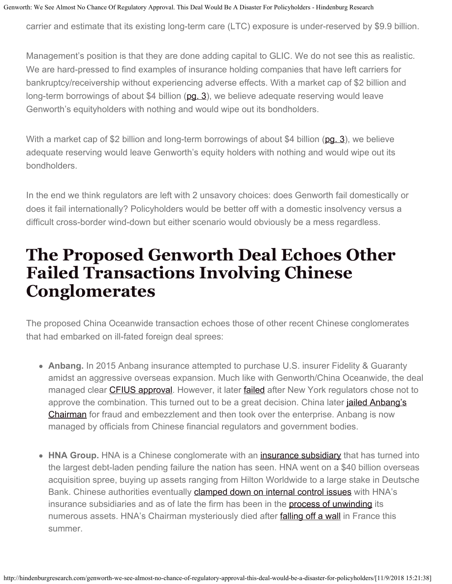carrier and estimate that its existing long-term care (LTC) exposure is under-reserved by \$9.9 billion.

Management's position is that they are done adding capital to GLIC. We do not see this as realistic. We are hard-pressed to find examples of insurance holding companies that have left carriers for bankruptcy/receivership without experiencing adverse effects. With a market cap of \$2 billion and long-term borrowings of about \$4 billion  $(pq. 3)$ , we believe adequate reserving would leave Genworth's equityholders with nothing and would wipe out its bondholders.

With a market cap of \$2 billion and long-term borrowings of about \$4 billion ( $pq. 3$ ), we believe adequate reserving would leave Genworth's equity holders with nothing and would wipe out its bondholders.

In the end we think regulators are left with 2 unsavory choices: does Genworth fail domestically or does it fail internationally? Policyholders would be better off with a domestic insolvency versus a difficult cross-border wind-down but either scenario would obviously be a mess regardless.

#### **The Proposed Genworth Deal Echoes Other Failed Transactions Involving Chinese Conglomerates**

The proposed China Oceanwide transaction echoes those of other recent Chinese conglomerates that had embarked on ill-fated foreign deal sprees:

- **Anbang.** In 2015 Anbang insurance attempted to purchase U.S. insurer Fidelity & Guaranty amidst an aggressive overseas expansion. Much like with Genworth/China Oceanwide, the deal managed clear [CFIUS approval](https://www.reuters.com/article/us-fidelityguarantylife-m-a-anbang/exclusive-anbangs-fidelity-guaranty-acquisition-set-to-fall-through-sources-idUSKBN17I0QG). However, it later [failed](https://www.wsj.com/articles/fidelity-guaranty-walks-away-from-1-6-billion-anbang-buyout-1492467044) after New York regulators chose not to approve the combination. This turned out to be a great decision. China later *jailed Anbang's* [Chairman](https://www.reuters.com/article/us-china-anbang/china-court-rejects-appeal-from-anbangs-jailed-ex-boss-wu-xiaohui-idUSKBN1L1122) for fraud and embezzlement and then took over the enterprise. Anbang is now managed by officials from Chinese financial regulators and government bodies.
- HNA Group. HNA is a Chinese conglomerate with an *[insurance subsidiary](https://www.ft.com/content/43de5590-af3c-11e7-beba-5521c713abf4)* that has turned into the largest debt-laden pending failure the nation has seen. HNA went on a \$40 billion overseas acquisition spree, buying up assets ranging from Hilton Worldwide to a large stake in Deutsche Bank. Chinese authorities eventually **[clamped down on internal control issues](https://www.scmp.com/business/companies/article/2114966/chinas-regulator-bars-hnas-bohai-and-four-insurers-funding)** with HNA's insurance subsidiaries and as of late the firm has been in the [process of unwinding](https://www.wsj.com/articles/chinas-hna-to-exit-deutsche-bank-stake-under-pressure-from-beijing-1536307095) its numerous assets. HNA's Chairman mysteriously died after **falling off a wall** in France this summer.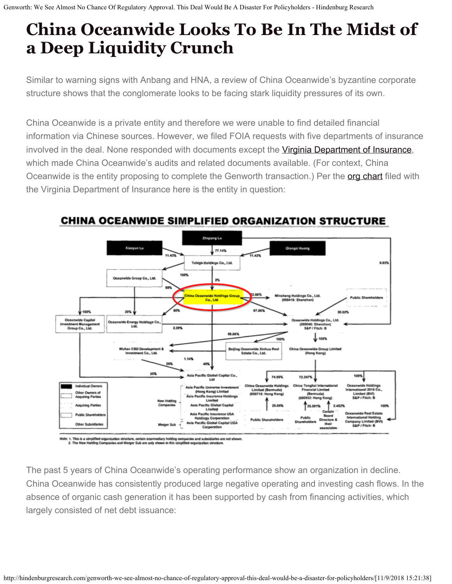## **China Oceanwide Looks To Be In The Midst of a Deep Liquidity Crunch**

Similar to warning signs with Anbang and HNA, a review of China Oceanwide's byzantine corporate structure shows that the conglomerate looks to be facing stark liquidity pressures of its own.

China Oceanwide is a private entity and therefore we were unable to find detailed financial information via Chinese sources. However, we filed FOIA requests with five departments of insurance involved in the deal. None responded with documents except the [Virginia Department of Insurance](http://www.scc.virginia.gov/docketsearch#caseDocs/136799), which made China Oceanwide's audits and related documents available. (For context, China Oceanwide is the entity proposing to complete the Genworth transaction.) Per the [org chart](http://www.scc.virginia.gov/docketsearch/DOCS/3m0d01!.PDF) filed with the Virginia Department of Insurance here is the entity in question:



#### **CHINA OCEANWIDE SIMPLIFIED ORGANIZATION STRUCTURE**

r. 1. This is a s

The past 5 years of China Oceanwide's operating performance show an organization in decline. China Oceanwide has consistently produced large negative operating and investing cash flows. In the absence of organic cash generation it has been supported by cash from financing activities, which largely consisted of net debt issuance: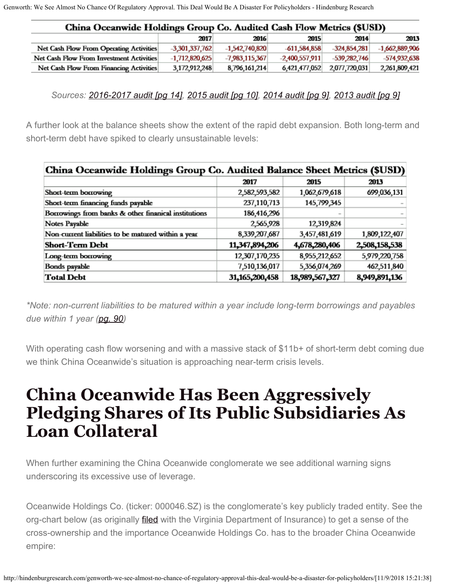| China Oceanwide Holdings Group Co. Audited Cash Flow Metrics (\$USD) |                  |                  |                  |                |                  |
|----------------------------------------------------------------------|------------------|------------------|------------------|----------------|------------------|
|                                                                      | 2017             | 2016             | 2015             | 2014           | 2013             |
| Net Cash Flow From Operating Activities                              | $-3.301.337.762$ | $-1,542,740,820$ | $-611.584.858$   | $-324.854.281$ | $-1,662,889,906$ |
| Net Cash Flow From Investment Activities                             | $-1,712,820,625$ | $-7.983.115.367$ | $-2,400,557,911$ | $-539.282.746$ | $-574.932.638$   |
| Net Cash Flow From Financing Activities                              | 3,172,912,248    | 8,796,161,214    | 6,421,477,052    | 2,077,720,031  | 2,261,809,421    |

*Sources: [2016-2017 audit \[pg 14\],](http://www.scc.virginia.gov/docketsearch/DOCS/3mkr01!.PDF) [2015 audit \[pg 10\]](http://www.scc.virginia.gov/docketsearch/DOCS/3ch801!.PDF), [2014 audit \[pg 9\]](http://www.scc.virginia.gov/docketsearch/DOCS/3ch901!.PDF), [2013 audit \[pg 9\]](http://www.scc.virginia.gov/docketsearch/DOCS/3ch%4001!.PDF)*

A further look at the balance sheets show the extent of the rapid debt expansion. Both long-term and short-term debt have spiked to clearly unsustainable levels:

| China Oceanwide Holdings Group Co. Audited Balance Sheet Metrics (\$USD) |                |                |               |  |  |
|--------------------------------------------------------------------------|----------------|----------------|---------------|--|--|
|                                                                          | 2017           | 2015           | 2013          |  |  |
| Short-term borrowing                                                     | 2,582,593,582  | 1,062,679,618  | 699,036,131   |  |  |
| Short-term financing funds payable                                       | 237,110,713    | 145,799,345    |               |  |  |
| Borrowings from banks & other finanical institutions                     | 186,416,296    |                |               |  |  |
| Notes Payable                                                            | 2,565,928      | 12,319,824     |               |  |  |
| Non-current liabilities to be matured within a year                      | 8,339,207,687  | 3,457,481,619  | 1,809,122,407 |  |  |
| <b>Short-Term Debt</b>                                                   | 11,347,894,206 | 4,678,280,406  | 2,508,158,538 |  |  |
| Long-term borrowing                                                      | 12,307,170,235 | 8,955,212,652  | 5,979,220,758 |  |  |
| Bonds payable                                                            | 7,510,136,017  | 5,356,074,269  | 462,511,840   |  |  |
| <b>Total Debt</b>                                                        | 31,165,200,458 | 18,989,567,327 | 8,949,891,136 |  |  |

*\*Note: non-current liabilities to be matured within a year include long-term borrowings and payables due within 1 year [\(pg. 90](http://www.scc.virginia.gov/docketsearch/DOCS/3mkr01!.PDF))*

With operating cash flow worsening and with a massive stack of \$11b+ of short-term debt coming due we think China Oceanwide's situation is approaching near-term crisis levels.

#### **China Oceanwide Has Been Aggressively Pledging Shares of Its Public Subsidiaries As Loan Collateral**

When further examining the China Oceanwide conglomerate we see additional warning signs underscoring its excessive use of leverage.

Oceanwide Holdings Co. (ticker: 000046.SZ) is the conglomerate's key publicly traded entity. See the org-chart below (as originally *filed* with the Virginia Department of Insurance) to get a sense of the cross-ownership and the importance Oceanwide Holdings Co. has to the broader China Oceanwide empire: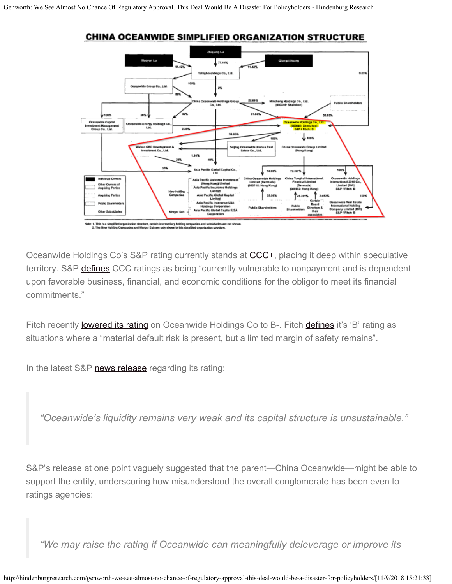

**CHINA OCEANWIDE SIMPLIFIED ORGANIZATION STRUCTURE** 

Oceanwide Holdings Co's S&P rating currently stands at [CCC+](https://www.standardandpoors.com/en_US/web/guest/article/-/view/type/HTML/id/2109124), placing it deep within speculative territory. S&P **defines** CCC ratings as being "currently vulnerable to nonpayment and is dependent upon favorable business, financial, and economic conditions for the obligor to meet its financial commitments."

Fitch recently **lowered its rating** on Oceanwide Holdings Co to B-. Fitch **defines** it's 'B' rating as situations where a "material default risk is present, but a limited margin of safety remains".

In the latest S&P [news release](https://www.standardandpoors.com/en_US/web/guest/article/-/view/type/HTML/id/2109124) regarding its rating:

*"Oceanwide's liquidity remains very weak and its capital structure is unsustainable."*

S&P's release at one point vaguely suggested that the parent—China Oceanwide—might be able to support the entity, underscoring how misunderstood the overall conglomerate has been even to ratings agencies:

*"We may raise the rating if Oceanwide can meaningfully deleverage or improve its*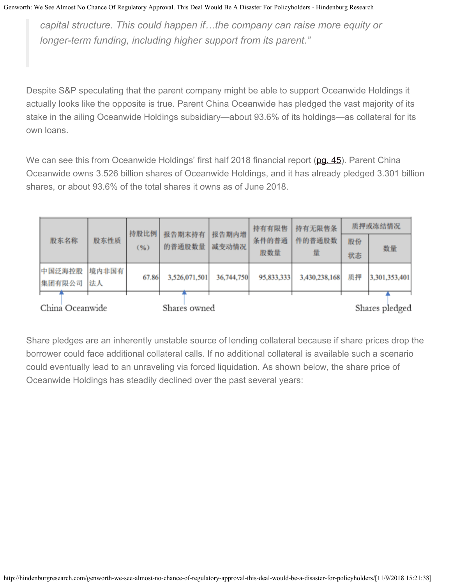*capital structure. This could happen if…the company can raise more equity or longer-term funding, including higher support from its parent."*

Despite S&P speculating that the parent company might be able to support Oceanwide Holdings it actually looks like the opposite is true. Parent China Oceanwide has pledged the vast majority of its stake in the ailing Oceanwide Holdings subsidiary—about 93.6% of its holdings—as collateral for its own loans.

We can see this from Oceanwide Holdings' first half 2018 financial report ([pg. 45](http://www.cninfo.com.cn/finalpage/2018-08-31/1205361843.PDF)). Parent China Oceanwide owns 3.526 billion shares of Oceanwide Holdings, and it has already pledged 3.301 billion shares, or about 93.6% of the total shares it owns as of June 2018.

|                 | 持股比例  | 报告期末持有 | 报告期内增         | 持有有限售      | 持有无限售条     | 质押或冻结情况       |    |                |
|-----------------|-------|--------|---------------|------------|------------|---------------|----|----------------|
| 股东名称            | 股东性质  | (96)   | 的普通股数量        | 减变动情况      | 条件的普通      | 件的普通股数        | 股份 | 数量             |
|                 |       |        |               |            | 股数量        | 量             | 状态 |                |
| 中国泛海控股          | 境内非国有 | 67.86  | 3,526,071,501 | 36,744,750 | 95,833,333 | 3,430,238,168 | 质押 | 3,301,353,401  |
| 集团有限公司          | 法人    |        |               |            |            |               |    |                |
| China Oceanwide |       |        | Shares owned  |            |            |               |    | Shares pledged |

Share pledges are an inherently unstable source of lending collateral because if share prices drop the borrower could face additional collateral calls. If no additional collateral is available such a scenario could eventually lead to an unraveling via forced liquidation. As shown below, the share price of Oceanwide Holdings has steadily declined over the past several years: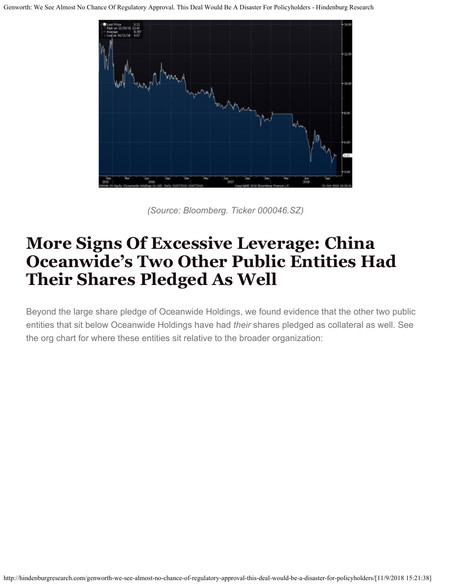

*(Source: Bloomberg. Ticker 000046.SZ)*

#### **More Signs Of Excessive Leverage: China Oceanwide's Two Other Public Entities Had Their Shares Pledged As Well**

Beyond the large share pledge of Oceanwide Holdings, we found evidence that the other two public entities that sit below Oceanwide Holdings have had *their* shares pledged as collateral as well. See the org chart for where these entities sit relative to the broader organization: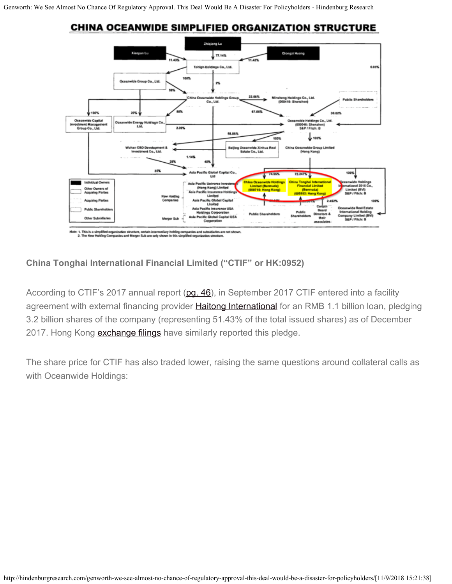



**China Tonghai International Financial Limited ("CTIF" or HK:0952)**

According to CTIF's 2017 annual report [\(pg. 46](http://www.hkexnews.hk/listedco/listconews/SEHK/2018/0417/LTN201804171195.pdf)), in September 2017 CTIF entered into a facility agreement with external financing provider **Haitong International** for an RMB 1.1 billion loan, pledging 3.2 billion shares of the company (representing 51.43% of the total issued shares) as of December 2017. Hong Kong **exchange filings** have similarly reported this pledge.

The share price for CTIF has also traded lower, raising the same questions around collateral calls as with Oceanwide Holdings: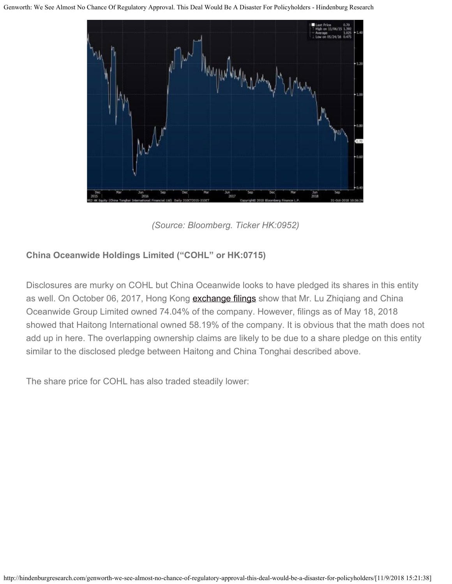

*(Source: Bloomberg. Ticker HK:0952)*

#### **China Oceanwide Holdings Limited ("COHL" or HK:0715)**

Disclosures are murky on COHL but China Oceanwide looks to have pledged its shares in this entity as well. On October 06, 2017, Hong Kong [exchange filings](http://sdinotice.hkex.com.hk/di/NSAllSSList.aspx?sa2=as&sid=1575&corpn=China+Oceanwide+Holdings+Ltd.&sd=01/01/1900&ed=21/09/2018&cid=0&sa1=cl&scsd=01%2f01%2f1900&sced=21%2f09%2f2018&sc=0715&src=MAIN&lang=EN&) show that Mr. Lu Zhiqiang and China Oceanwide Group Limited owned 74.04% of the company. However, filings as of May 18, 2018 showed that Haitong International owned 58.19% of the company. It is obvious that the math does not add up in here. The overlapping ownership claims are likely to be due to a share pledge on this entity similar to the disclosed pledge between Haitong and China Tonghai described above.

The share price for COHL has also traded steadily lower: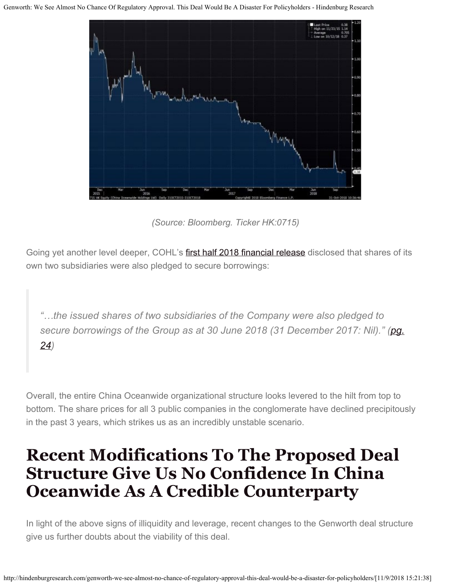

*(Source: Bloomberg. Ticker HK:0715)*

Going yet another level deeper, COHL's [first half 2018 financial release](http://www.hkexnews.hk/listedco/listconews/SEHK/2018/0830/LTN201808301421.pdf) disclosed that shares of its own two subsidiaries were also pledged to secure borrowings:

*"…the issued shares of two subsidiaries of the Company were also pledged to secure borrowings of the Group as at 30 June 2018 (31 December 2017: Nil)." [\(pg.](http://www.hkexnews.hk/listedco/listconews/SEHK/2018/0830/LTN201808301421.pdf) [24](http://www.hkexnews.hk/listedco/listconews/SEHK/2018/0830/LTN201808301421.pdf))*

Overall, the entire China Oceanwide organizational structure looks levered to the hilt from top to bottom. The share prices for all 3 public companies in the conglomerate have declined precipitously in the past 3 years, which strikes us as an incredibly unstable scenario.

#### **Recent Modifications To The Proposed Deal Structure Give Us No Confidence In China Oceanwide As A Credible Counterparty**

In light of the above signs of illiquidity and leverage, recent changes to the Genworth deal structure give us further doubts about the viability of this deal.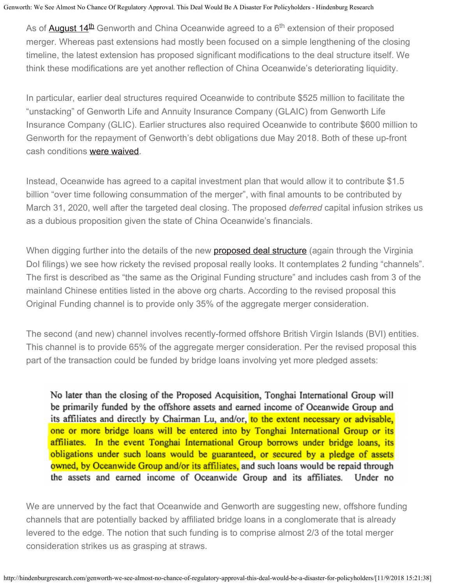As of <u>August 14<sup>[th](http://investor.genworth.com/investors/news-releases/archive/archive/2018/Genworth-and-Oceanwide-Extend-Merger-Agreement-6db73a1f8/default.aspx)</sup> Genworth and China Oceanwide agreed to a 6<sup>th</sup> extension of their proposed</u> merger. Whereas past extensions had mostly been focused on a simple lengthening of the closing timeline, the latest extension has proposed significant modifications to the deal structure itself. We think these modifications are yet another reflection of China Oceanwide's deteriorating liquidity.

In particular, earlier deal structures required Oceanwide to contribute \$525 million to facilitate the "unstacking" of Genworth Life and Annuity Insurance Company (GLAIC) from Genworth Life Insurance Company (GLIC). Earlier structures also required Oceanwide to contribute \$600 million to Genworth for the repayment of Genworth's debt obligations due May 2018. Both of these up-front cash conditions [were waived](http://investor.genworth.com/investors/news-releases/archive/archive/2018/Genworth-and-Oceanwide-Extend-Merger-Agreement-6db73a1f8/default.aspx).

Instead, Oceanwide has agreed to a capital investment plan that would allow it to contribute \$1.5 billion "over time following consummation of the merger", with final amounts to be contributed by March 31, 2020, well after the targeted deal closing. The proposed *deferred* capital infusion strikes us as a dubious proposition given the state of China Oceanwide's financials.

When digging further into the details of the new **proposed deal structure** (again through the Virginia DoI filings) we see how rickety the revised proposal really looks. It contemplates 2 funding "channels". The first is described as "the same as the Original Funding structure" and includes cash from 3 of the mainland Chinese entities listed in the above org charts. According to the revised proposal this Original Funding channel is to provide only 35% of the aggregate merger consideration.

The second (and new) channel involves recently-formed offshore British Virgin Islands (BVI) entities. This channel is to provide 65% of the aggregate merger consideration. Per the revised proposal this part of the transaction could be funded by bridge loans involving yet more pledged assets:

No later than the closing of the Proposed Acquisition, Tonghai International Group will be primarily funded by the offshore assets and earned income of Oceanwide Group and its affiliates and directly by Chairman Lu, and/or, to the extent necessary or advisable, one or more bridge loans will be entered into by Tonghai International Group or its affiliates. In the event Tonghai International Group borrows under bridge loans, its obligations under such loans would be guaranteed, or secured by a pledge of assets owned, by Oceanwide Group and/or its affiliates, and such loans would be repaid through the assets and earned income of Oceanwide Group and its affiliates. Under no

We are unnerved by the fact that Oceanwide and Genworth are suggesting new, offshore funding channels that are potentially backed by affiliated bridge loans in a conglomerate that is already levered to the edge. The notion that such funding is to comprise almost 2/3 of the total merger consideration strikes us as grasping at straws.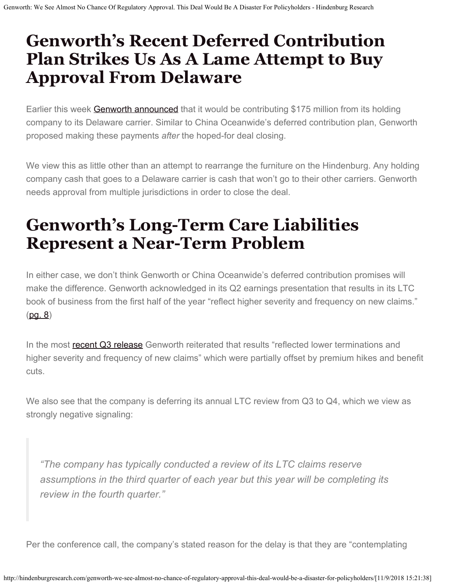### **Genworth's Recent Deferred Contribution Plan Strikes Us As A Lame Attempt to Buy Approval From Delaware**

Earlier this week **Genworth announced** that it would be contributing \$175 million from its holding company to its Delaware carrier. Similar to China Oceanwide's deferred contribution plan, Genworth proposed making these payments *after* the hoped-for deal closing.

We view this as little other than an attempt to rearrange the furniture on the Hindenburg. Any holding company cash that goes to a Delaware carrier is cash that won't go to their other carriers. Genworth needs approval from multiple jurisdictions in order to close the deal.

## **Genworth's Long-Term Care Liabilities Represent a Near-Term Problem**

In either case, we don't think Genworth or China Oceanwide's deferred contribution promises will make the difference. Genworth acknowledged in its Q2 earnings presentation that results in its LTC book of business from the first half of the year "reflect higher severity and frequency on new claims."  $(pg. 8)$  $(pg. 8)$ 

In the most [recent Q3 release](http://investor.genworth.com/investors/news-releases/archive/archive/2018/Genworth-Financial-Announces-Third-Quarter-2018-Results/default.aspx) Genworth reiterated that results "reflected lower terminations and higher severity and frequency of new claims" which were partially offset by premium hikes and benefit cuts.

We also see that the company is deferring its annual LTC review from Q3 to Q4, which we view as strongly negative signaling:

*"The company has typically conducted a review of its LTC claims reserve assumptions in the third quarter of each year but this year will be completing its review in the fourth quarter."*

Per the conference call, the company's stated reason for the delay is that they are "contemplating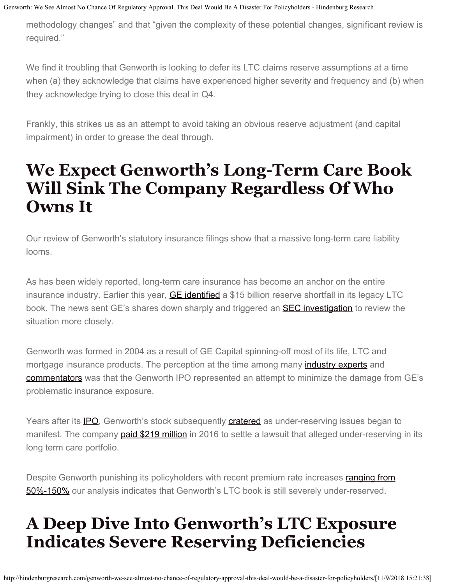methodology changes" and that "given the complexity of these potential changes, significant review is required."

We find it troubling that Genworth is looking to defer its LTC claims reserve assumptions at a time when (a) they acknowledge that claims have experienced higher severity and frequency and (b) when they acknowledge trying to close this deal in Q4.

Frankly, this strikes us as an attempt to avoid taking an obvious reserve adjustment (and capital impairment) in order to grease the deal through.

#### **We Expect Genworth's Long-Term Care Book Will Sink The Company Regardless Of Who Owns It**

Our review of Genworth's statutory insurance filings show that a massive long-term care liability looms.

As has been widely reported, long-term care insurance has become an anchor on the entire insurance industry. Earlier this year, **GE identified** a \$15 billion reserve shortfall in its legacy LTC book. The news sent GE's shares down sharply and triggered an **SEC investigation** to review the situation more closely.

Genworth was formed in 2004 as a result of GE Capital spinning-off most of its life, LTC and mortgage insurance products. The perception at the time among many *industry experts* and [commentators](https://www.theglobeandmail.com/report-on-business/genworth-debut-falls-flat-as-investors-shun-ge-spinoff/article18265737/) was that the Genworth IPO represented an attempt to minimize the damage from GE's problematic insurance exposure.

Years after its [IPO](http://money.cnn.com/2004/05/25/markets/ipo/genworth/), Genworth's stock subsequently [cratered](https://www.newsadvance.com/news/local/genworth-stock-plummets-after-company-sets-aside-more-insurance-reserves/article_150e442c-65ee-11e4-b7fd-0017a43b2370.html) as under-reserving issues began to manifest. The company [paid \\$219 million](http://www.investmentnews.com/article/20160314/FREE/160319971/genworth-to-pay-219m-to-settle-securities-lawsuit-related-to-long) in 2016 to settle a lawsuit that alleged under-reserving in its long term care portfolio.

Despite Genworth punishing its policyholders with recent premium rate increases [ranging from](https://www.wsj.com/articles/millions-bought-insurance-to-cover-retirement-health-costs-now-they-face-an-awful-choice-1516206708) [50%-150%](https://www.wsj.com/articles/millions-bought-insurance-to-cover-retirement-health-costs-now-they-face-an-awful-choice-1516206708) our analysis indicates that Genworth's LTC book is still severely under-reserved.

### **A Deep Dive Into Genworth's LTC Exposure Indicates Severe Reserving Deficiencies**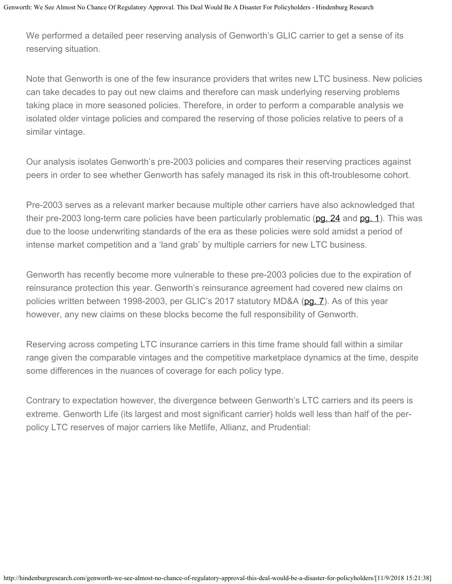We performed a detailed peer reserving analysis of Genworth's GLIC carrier to get a sense of its reserving situation.

Note that Genworth is one of the few insurance providers that writes new LTC business. New policies can take decades to pay out new claims and therefore can mask underlying reserving problems taking place in more seasoned policies. Therefore, in order to perform a comparable analysis we isolated older vintage policies and compared the reserving of those policies relative to peers of a similar vintage.

Our analysis isolates Genworth's pre-2003 policies and compares their reserving practices against peers in order to see whether Genworth has safely managed its risk in this oft-troublesome cohort.

Pre-2003 serves as a relevant marker because multiple other carriers have also acknowledged that their pre-2003 long-term care policies have been particularly problematic [\(pg. 24](https://www.sec.gov/Archives/edgar/data/1224608/000122460818000011/cno1231201710-k.htm) and [pg. 1](https://www.wsj.com/articles/SB122826822305174269)). This was due to the loose underwriting standards of the era as these policies were sold amidst a period of intense market competition and a 'land grab' by multiple carriers for new LTC business.

Genworth has recently become more vulnerable to these pre-2003 policies due to the expiration of reinsurance protection this year. Genworth's reinsurance agreement had covered new claims on policies written between 1998-2003, per GLIC's 2017 statutory MD&A [\(pg. 7](https://www.slideshare.net/secret/4F2BQPg7TzhZ3D)). As of this year however, any new claims on these blocks become the full responsibility of Genworth.

Reserving across competing LTC insurance carriers in this time frame should fall within a similar range given the comparable vintages and the competitive marketplace dynamics at the time, despite some differences in the nuances of coverage for each policy type.

Contrary to expectation however, the divergence between Genworth's LTC carriers and its peers is extreme. Genworth Life (its largest and most significant carrier) holds well less than half of the perpolicy LTC reserves of major carriers like Metlife, Allianz, and Prudential: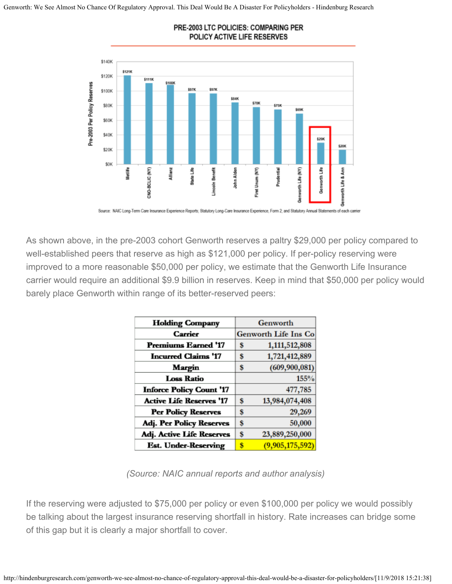

#### PRE-2003 LTC POLICIES: COMPARING PER POLICY ACTIVE LIFE RESERVES

Source: NAIC Long-Term Care Insurance Experience Reports; Statutory Long-Care Insurance Experience, Form 2; and Statutory Annual State nents of each carrier

As shown above, in the pre-2003 cohort Genworth reserves a paltry \$29,000 per policy compared to well-established peers that reserve as high as \$121,000 per policy. If per-policy reserving were improved to a more reasonable \$50,000 per policy, we estimate that the Genworth Life Insurance carrier would require an additional \$9.9 billion in reserves. Keep in mind that \$50,000 per policy would barely place Genworth within range of its better-reserved peers:

| <b>Holding Company</b>          |    | Genworth                    |  |  |  |
|---------------------------------|----|-----------------------------|--|--|--|
| Carrier                         |    | <b>Genworth Life Ins Co</b> |  |  |  |
| <b>Premiums Earned '17</b>      | S  | 1,111,512,808               |  |  |  |
| <b>Incurred Claims '17</b>      | S  | 1,721,412,889               |  |  |  |
| Margin                          | S  | (609, 900, 081)             |  |  |  |
| <b>Loss Ratio</b>               |    | 155%                        |  |  |  |
| <b>Inforce Policy Count '17</b> |    | 477,785                     |  |  |  |
| <b>Active Life Reserves '17</b> | \$ | 13,984,074,408              |  |  |  |
| <b>Per Policy Reserves</b>      | S  | 29,269                      |  |  |  |
| Adj. Per Policy Reserves        | S  | 50,000                      |  |  |  |
| Adj. Active Life Reserves       | S  | 23,889,250,000              |  |  |  |
| <b>Est. Under-Reserving</b>     | \$ | (9,905,175,592)             |  |  |  |

*(Source: NAIC annual reports and author analysis)*

If the reserving were adjusted to \$75,000 per policy or even \$100,000 per policy we would possibly be talking about the largest insurance reserving shortfall in history. Rate increases can bridge some of this gap but it is clearly a major shortfall to cover.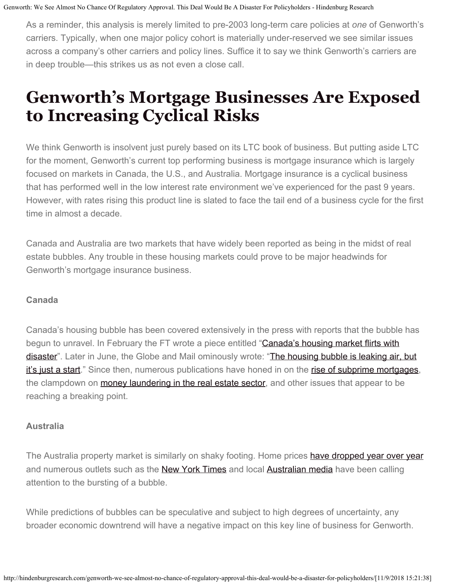As a reminder, this analysis is merely limited to pre-2003 long-term care policies at *one* of Genworth's carriers. Typically, when one major policy cohort is materially under-reserved we see similar issues across a company's other carriers and policy lines. Suffice it to say we think Genworth's carriers are in deep trouble—this strikes us as not even a close call.

#### **Genworth's Mortgage Businesses Are Exposed to Increasing Cyclical Risks**

We think Genworth is insolvent just purely based on its LTC book of business. But putting aside LTC for the moment, Genworth's current top performing business is mortgage insurance which is largely focused on markets in Canada, the U.S., and Australia. Mortgage insurance is a cyclical business that has performed well in the low interest rate environment we've experienced for the past 9 years. However, with rates rising this product line is slated to face the tail end of a business cycle for the first time in almost a decade.

Canada and Australia are two markets that have widely been reported as being in the midst of real estate bubbles. Any trouble in these housing markets could prove to be major headwinds for Genworth's mortgage insurance business.

#### **Canada**

Canada's housing bubble has been covered extensively in the press with reports that the bubble has begun to unravel. In February the FT wrote a piece entitled "[Canada's housing market flirts with](https://www.ft.com/content/8cb9f0fa-0a61-11e8-839d-41ca06376bf2) [disaster"](https://www.ft.com/content/8cb9f0fa-0a61-11e8-839d-41ca06376bf2). Later in June, the Globe and Mail ominously wrote: "[The housing bubble is leaking air, but](https://www.theglobeandmail.com/opinion/editorials/article-globe-editorial-the-housing-bubble-is-leaking-air-but-its-just-a/) [it's just a start.](https://www.theglobeandmail.com/opinion/editorials/article-globe-editorial-the-housing-bubble-is-leaking-air-but-its-just-a/)" Since then, numerous publications have honed in on the [rise of subprime mortgages](https://business.financialpost.com/real-estate/mortgages/for-3-4-million-subprime-canadians-poloz-cant-go-slowly-enough), the clampdown on **money laundering in the real estate sector**, and other issues that appear to be reaching a breaking point.

#### **Australia**

The Australia property market is similarly on shaky footing. Home prices [have dropped year over year](https://www.forbes.com/sites/johnwake/2018/07/23/5-reasons-home-prices-are-falling-in-australia/#d3bb3aa2e54c) and numerous outlets such as the [New York Times](https://www.nytimes.com/2018/07/17/world/australia/sydney-melbourne-housing-costs.html) and local [Australian media](http://www.abc.net.au/news/2018-01-17/australian-housing-crash-why-you-should-worry/9336082) have been calling attention to the bursting of a bubble.

While predictions of bubbles can be speculative and subject to high degrees of uncertainty, any broader economic downtrend will have a negative impact on this key line of business for Genworth.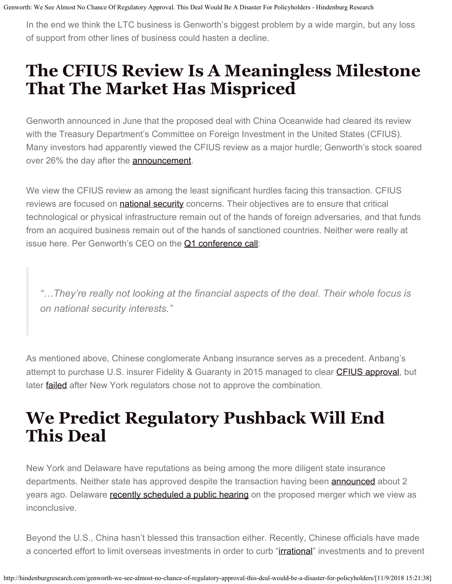In the end we think the LTC business is Genworth's biggest problem by a wide margin, but any loss of support from other lines of business could hasten a decline.

## **The CFIUS Review Is A Meaningless Milestone That The Market Has Mispriced**

Genworth announced in June that the proposed deal with China Oceanwide had cleared its review with the Treasury Department's Committee on Foreign Investment in the United States (CFIUS). Many investors had apparently viewed the CFIUS review as a major hurdle; Genworth's stock soared over 26% the day after the **announcement**.

We view the CFIUS review as among the least significant hurdles facing this transaction. CFIUS reviews are focused on **national security** concerns. Their objectives are to ensure that critical technological or physical infrastructure remain out of the hands of foreign adversaries, and that funds from an acquired business remain out of the hands of sanctioned countries. Neither were really at issue here. Per Genworth's CEO on the [Q1 conference call](https://seekingalpha.com/article/4168567-genworth-financial-gnw-q1-2018-results-earnings-call-transcript?part=single):

*"…They're really not looking at the financial aspects of the deal. Their whole focus is on national security interests."*

As mentioned above, Chinese conglomerate Anbang insurance serves as a precedent. Anbang's attempt to purchase U.S. insurer Fidelity & Guaranty in 2015 managed to clear [CFIUS approval](https://www.reuters.com/article/us-fidelityguarantylife-m-a-anbang/exclusive-anbangs-fidelity-guaranty-acquisition-set-to-fall-through-sources-idUSKBN17I0QG), but later **failed** after New York regulators chose not to approve the combination.

### **We Predict Regulatory Pushback Will End This Deal**

New York and Delaware have reputations as being among the more diligent state insurance departments. Neither state has approved despite the transaction having been **announced** about 2 years ago. Delaware [recently scheduled a public hearing](http://investor.genworth.com/investors/news-releases/archive/archive/2018/Delaware-Department-of-Insurance-Schedules-Public-Hearing-on-China-Oceanwide-and-Genworth-Financial-Merger-on-November-28-2018/default.aspx) on the proposed merger which we view as inconclusive.

Beyond the U.S., China hasn't blessed this transaction either. Recently, Chinese officials have made a concerted effort to limit overseas investments in order to curb "*irrational*" investments and to prevent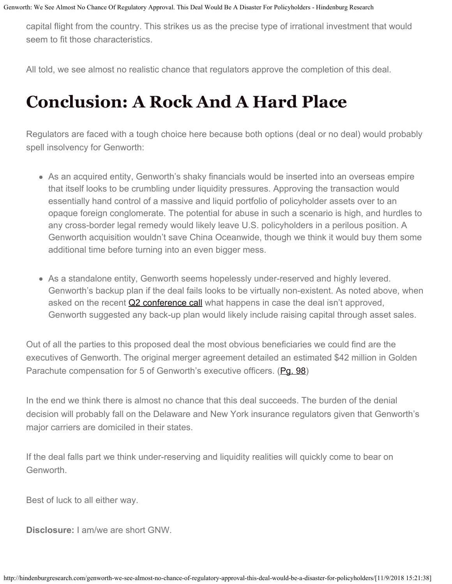capital flight from the country. This strikes us as the precise type of irrational investment that would seem to fit those characteristics.

All told, we see almost no realistic chance that regulators approve the completion of this deal.

### **Conclusion: A Rock And A Hard Place**

Regulators are faced with a tough choice here because both options (deal or no deal) would probably spell insolvency for Genworth:

- As an acquired entity, Genworth's shaky financials would be inserted into an overseas empire that itself looks to be crumbling under liquidity pressures. Approving the transaction would essentially hand control of a massive and liquid portfolio of policyholder assets over to an opaque foreign conglomerate. The potential for abuse in such a scenario is high, and hurdles to any cross-border legal remedy would likely leave U.S. policyholders in a perilous position. A Genworth acquisition wouldn't save China Oceanwide, though we think it would buy them some additional time before turning into an even bigger mess.
- As a standalone entity, Genworth seems hopelessly under-reserved and highly levered. Genworth's backup plan if the deal fails looks to be virtually non-existent. As noted above, when asked on the recent [Q2 conference call](https://seekingalpha.com/article/4193094-genworth-financial-gnw-q2-2018-results-earnings-call-transcript?part=single) what happens in case the deal isn't approved, Genworth suggested any back-up plan would likely include raising capital through asset sales.

Out of all the parties to this proposed deal the most obvious beneficiaries we could find are the executives of Genworth. The original merger agreement detailed an estimated \$42 million in Golden Parachute compensation for 5 of Genworth's executive officers. (Pq. 98)

In the end we think there is almost no chance that this deal succeeds. The burden of the denial decision will probably fall on the Delaware and New York insurance regulators given that Genworth's major carriers are domiciled in their states.

If the deal falls part we think under-reserving and liquidity realities will quickly come to bear on Genworth.

Best of luck to all either way.

**Disclosure:** I am/we are short GNW.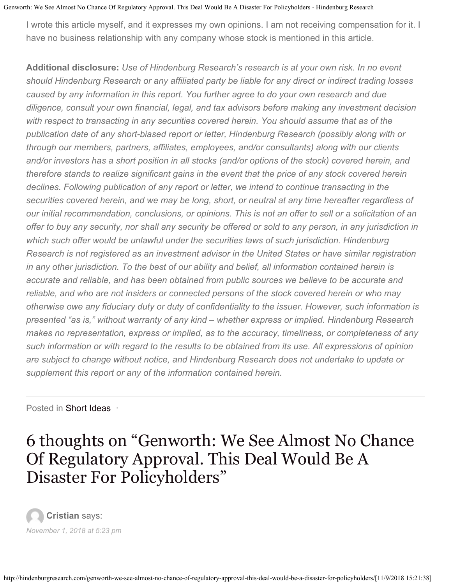I wrote this article myself, and it expresses my own opinions. I am not receiving compensation for it. I have no business relationship with any company whose stock is mentioned in this article.

**Additional disclosure:** *Use of Hindenburg Research's research is at your own risk. In no event should Hindenburg Research or any affiliated party be liable for any direct or indirect trading losses caused by any information in this report. You further agree to do your own research and due diligence, consult your own financial, legal, and tax advisors before making any investment decision with respect to transacting in any securities covered herein. You should assume that as of the publication date of any short-biased report or letter, Hindenburg Research (possibly along with or through our members, partners, affiliates, employees, and/or consultants) along with our clients and/or investors has a short position in all stocks (and/or options of the stock) covered herein, and therefore stands to realize significant gains in the event that the price of any stock covered herein declines. Following publication of any report or letter, we intend to continue transacting in the securities covered herein, and we may be long, short, or neutral at any time hereafter regardless of our initial recommendation, conclusions, or opinions. This is not an offer to sell or a solicitation of an offer to buy any security, nor shall any security be offered or sold to any person, in any jurisdiction in which such offer would be unlawful under the securities laws of such jurisdiction. Hindenburg Research is not registered as an investment advisor in the United States or have similar registration in any other jurisdiction. To the best of our ability and belief, all information contained herein is accurate and reliable, and has been obtained from public sources we believe to be accurate and reliable, and who are not insiders or connected persons of the stock covered herein or who may otherwise owe any fiduciary duty or duty of confidentiality to the issuer. However, such information is presented "as is," without warranty of any kind – whether express or implied. Hindenburg Research makes no representation, express or implied, as to the accuracy, timeliness, or completeness of any such information or with regard to the results to be obtained from its use. All expressions of opinion are subject to change without notice, and Hindenburg Research does not undertake to update or supplement this report or any of the information contained herein.*

Posted in [Short Ideas](http://hindenburgresearch.com/category/short-ideas/) ·

#### 6 thoughts on "Genworth: We See Almost No Chance Of Regulatory Approval. This Deal Would Be A Disaster For Policyholders"

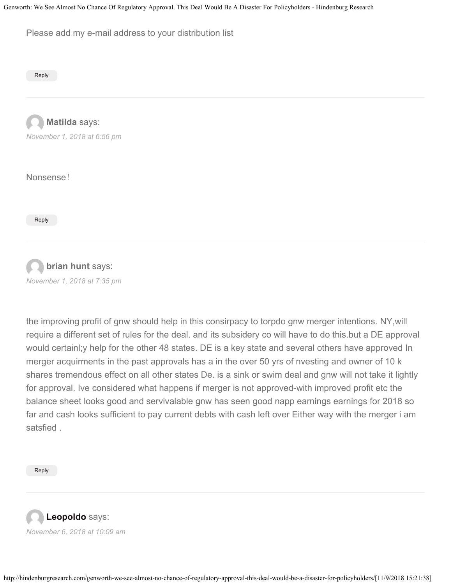Please add my e-mail address to your distribution list

[Reply](#page-21-0)

**Matilda** says: *[November 1, 2018 at 6:56 pm](#page-21-0)*

Nonsense!

[Reply](#page-21-0)



*[November 1, 2018 at 7:35 pm](#page-21-0)*

the improving profit of gnw should help in this consirpacy to torpdo gnw merger intentions. NY,will require a different set of rules for the deal. and its subsidery co will have to do this.but a DE approval would certainl;y help for the other 48 states. DE is a key state and several others have approved In merger acquirments in the past approvals has a in the over 50 yrs of nvesting and owner of 10 k shares tremendous effect on all other states De. is a sink or swim deal and gnw will not take it lightly for approval. Ive considered what happens if merger is not approved-with improved profit etc the balance sheet looks good and servivalable gnw has seen good napp earnings earnings for 2018 so far and cash looks sufficient to pay current debts with cash left over Either way with the merger i am satsfied .

[Reply](#page-21-0)

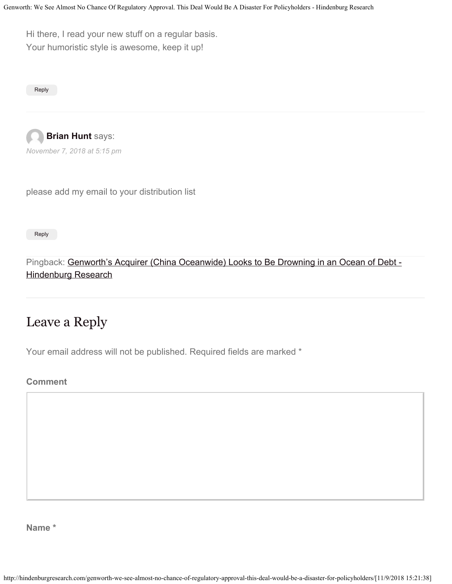<span id="page-21-1"></span><span id="page-21-0"></span>Hi there, I read your new stuff on a regular basis. Your humoristic style is awesome, keep it up!

[Reply](#page-21-1)

<span id="page-21-2"></span>

please add my email to your distribution list

[Reply](#page-21-2)

Pingback: [Genworth's Acquirer \(China Oceanwide\) Looks to Be Drowning in an Ocean of Debt -](http://hindenburgresearch.com/genworths-acquirer-china-oceanwide-looks-to-be-drowning-in-an-ocean-of-debt/) [Hindenburg Research](http://hindenburgresearch.com/genworths-acquirer-china-oceanwide-looks-to-be-drowning-in-an-ocean-of-debt/)

#### Leave a Reply

Your email address will not be published. Required fields are marked \*

**Comment**

**Name \***